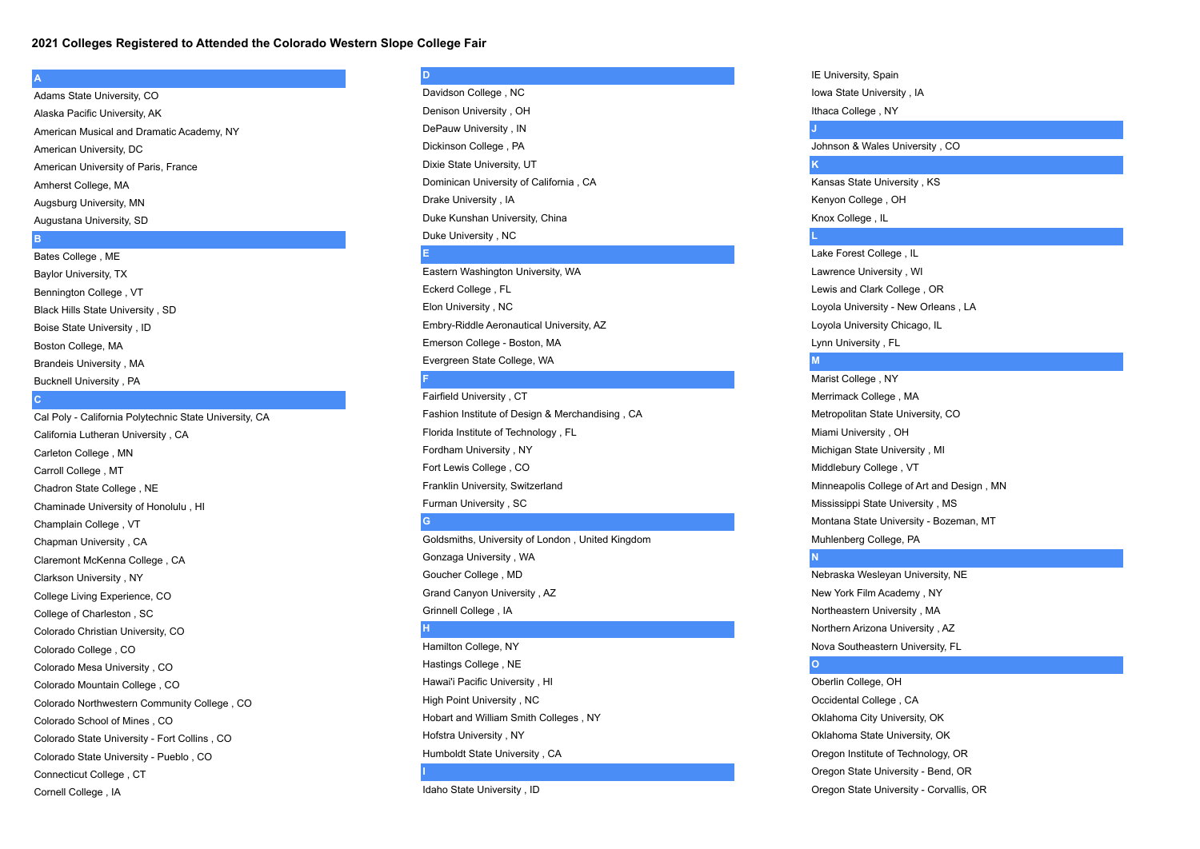### **2021 Colleges Registered to Attended the Colorado Western Slope College Fair**

### **A**

Adams State University, CO Alaska Pacific University, AK American Musical and Dramatic Academy, NY American University, DC American University of Paris, France Amherst College, MA Augsburg University, MN Augustana University, SD

## **B**

Bates College , ME Baylor University, TX Bennington College , VT Black Hills State University , SD Boise State University , ID Boston College, MA Brandeis University , MA Bucknell University , PA

### **C**

Cal Poly - California Polytechnic State University, CA California Lutheran University , CA Carleton College , MN Carroll College , MT Chadron State College , NE Chaminade University of Honolulu , HI Champlain College , VT Chapman University , CA Claremont McKenna College , CA Clarkson University , NY College Living Experience, CO College of Charleston , SC Colorado Christian University, CO Colorado College , CO Colorado Mesa University , CO Colorado Mountain College , CO Colorado Northwestern Community College , CO Colorado School of Mines , CO Colorado State University - Fort Collins , CO Colorado State University - Pueblo , CO Connecticut College , CT Cornell College , IA

# **D**

Davidson College , NC Denison University , OH DePauw University , IN Dickinson College , PA Dixie State University, UT Dominican University of California , CA Drake University , IA Duke Kunshan University, China Duke University , NC

### **E**

Eastern Washington University, WA Eckerd College , FL Elon University , NC Embry-Riddle Aeronautical University, AZ Emerson College - Boston, MA Evergreen State College, WA **F**

Fairfield University , CT Fashion Institute of Design & Merchandising , CA Florida Institute of Technology , FL Fordham University , NY Fort Lewis College , CO Franklin University, Switzerland Furman University , SC **G**

Goldsmiths, University of London , United Kingdom Gonzaga University , WA Goucher College , MD Grand Canyon University , AZ Grinnell College , IA

## **H**

Hamilton College, NY Hastings College , NE Hawai'i Pacific University , HI High Point University , NC Hobart and William Smith Colleges , NY Hofstra University , NY Humboldt State University , CA

**I**

Idaho State University , ID

# IE University, Spain Iowa State University , IA Ithaca College , NY

**J**

Johnson & Wales University , CO **K**

Kansas State University , KS Kenyon College , OH Knox College , IL

**L**

Lake Forest College , IL Lawrence University , WI Lewis and Clark College , OR Loyola University - New Orleans , LA Loyola University Chicago, IL Lynn University , FL

## **M**

Marist College , NY Merrimack College , MA Metropolitan State University, CO Miami University , OH Michigan State University , MI Middlebury College , VT Minneapolis College of Art and Design , MN Mississippi State University , MS Montana State University - Bozeman, MT Muhlenberg College, PA **N**

Nebraska Wesleyan University, NE New York Film Academy , NY Northeastern University , MA Northern Arizona University , AZ Nova Southeastern University, FL

## **O**

Oberlin College, OH Occidental College , CA Oklahoma City University, OK Oklahoma State University, OK Oregon Institute of Technology, OR Oregon State University - Bend, OR Oregon State University - Corvallis, OR